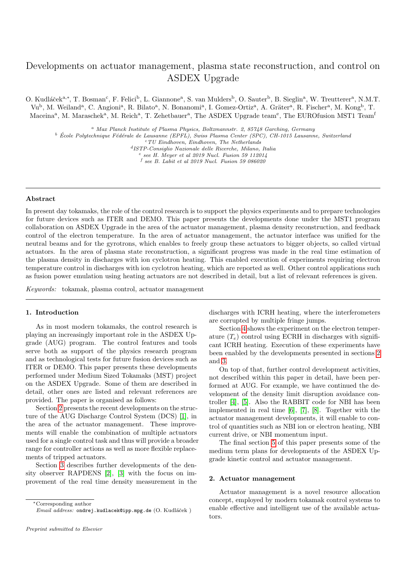# Developments on actuator management, plasma state reconstruction, and control on ASDEX Upgrade

O. Kudláček<sup>a,\*</sup>, T. Bosman<sup>c</sup>, F. Felici<sup>b</sup>, L. Giannone<sup>a</sup>, S. van Mulders<sup>b</sup>, O. Sauter<sup>b</sup>, B. Sieglin<sup>a</sup>, W. Treutterer<sup>a</sup>, N.M.T. Vu<sup>b</sup>, M. Weiland<sup>a</sup>, C. Angioni<sup>a</sup>, R. Bilato<sup>a</sup>, N. Bonanomi<sup>a</sup>, I. Gomez-Ortiz<sup>a</sup>, A. Gräter<sup>a</sup>, R. Fischer<sup>a</sup>, M. Kong<sup>b</sup>, T. Maceina<sup>a</sup>, M. Maraschek<sup>a</sup>, M. Reich<sup>a</sup>, T. Zehetbauer<sup>a</sup>, The ASDEX Upgrade team<sup>e</sup>, The EUROfusion MST1 Team<sup>f</sup>

<sup>a</sup> Max Planck Institute of Plasma Physics, Boltzmannstr. 2, 85748 Garching, Germany

 $b$  École Polytechnique Fédérale de Lausanne (EPFL), Swiss Plasma Center (SPC), CH-1015 Lausanne, Switzerland

 $\sqrt{\tau}$ TU Eindhoven, Eindhoven, The Netherlands

d ISTP-Consiglio Nazionale delle Ricerche, Milano, Italia

 $e$  see H. Meyer et al 2019 Nucl. Fusion 59 112014

 $f$  see B. Labit et al 2019 Nucl. Fusion 59 086020

## Abstract

In present day tokamaks, the role of the control research is to support the physics experiments and to prepare technologies for future devices such as ITER and DEMO. This paper presents the developments done under the MST1 program collaboration on ASDEX Upgrade in the area of the actuator management, plasma density reconstruction, and feedback control of the electron temperature. In the area of actuator management, the actuator interface was unified for the neutral beams and for the gyrotrons, which enables to freely group these actuators to bigger objects, so called virtual actuators. In the area of plasma state reconstruction, a significant progress was made in the real time estimation of the plasma density in discharges with ion cyclotron heating. This enabled execution of experiments requiring electron temperature control in discharges with ion cyclotron heating, which are reported as well. Other control applications such as fusion power emulation using heating actuators are not described in detail, but a list of relevant references is given.

Keywords: tokamak, plasma control, actuator management

## 1. Introduction

As in most modern tokamaks, the control research is playing an increasingly important role in the ASDEX Upgrade (AUG) program. The control features and tools serve both as support of the physics research program and as technological tests for future fusion devices such as ITER or DEMO. This paper presents these developments performed under Medium Sized Tokamaks (MST) project on the ASDEX Upgrade. Some of them are described in detail, other ones are listed and relevant references are provided. The paper is organised as follows:

Section [2](#page-0-0) presents the recent developments on the structure of the AUG Discharge Control System (DCS) [\[1\]](#page-5-0), in the area of the actuator management. These improvements will enable the combination of multiple actuators used for a single control task and thus will provide a broader range for controller actions as well as more flexible replacements of tripped actuators.

Section [3](#page-3-0) describes further developments of the density observer RAPDENS [\[2\]](#page-6-0), [\[3\]](#page-6-1) with the focus on improvement of the real time density measurement in the

<sup>∗</sup>Corresponding author

discharges with ICRH heating, where the interferometers are corrupted by multiple fringe jumps.

Section [4](#page-4-0) shows the experiment on the electron temperature  $(T_e)$  control using ECRH in discharges with significant ICRH heating. Execution of these experiments have been enabled by the developments presented in sections [2](#page-0-0) and [3.](#page-3-0)

On top of that, further control development activities, not described within this paper in detail, have been performed at AUG. For example, we have continued the development of the density limit disruption avoidance controller [\[4\]](#page-6-2), [\[5\]](#page-6-3). Also the RABBIT code for NBI has been implemented in real time [\[6\]](#page-6-4), [\[7\]](#page-6-5), [\[8\]](#page-6-6). Together with the actuator management developments, it will enable to control of quantities such as NBI ion or electron heating, NBI current drive, or NBI momentum input.

The final section [5](#page-5-1) of this paper presents some of the medium term plans for developments of the ASDEX Upgrade kinetic control and actuator management.

#### <span id="page-0-0"></span>2. Actuator management

Actuator management is a novel resource allocation concept, employed by modern tokamak control systems to enable effective and intelligent use of the available actuators.

Email address: ondrej.kudlacek@ipp.mpg.de (O. Kudláček)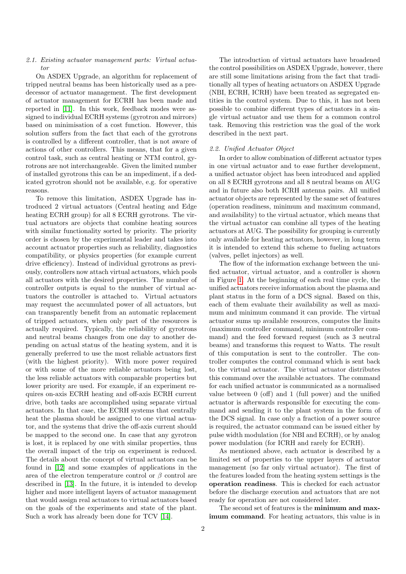# 2.1. Existing actuator management parts: Virtual actuator

On ASDEX Upgrade, an algorithm for replacement of tripped neutral beams has been historically used as a predecessor of actuator management. The first development of actuator management for ECRH has been made and reported in [\[11\]](#page-6-7). In this work, feedback modes were assigned to individual ECRH systems (gyrotron and mirrors) based on minimisation of a cost function. However, this solution suffers from the fact that each of the gyrotrons is controlled by a different controller, that is not aware of actions of other controllers. This means, that for a given control task, such as central heating or NTM control, gyrotrons are not interchangeable. Given the limited number of installed gyrotrons this can be an impediment, if a dedicated gyrotron should not be available, e.g. for operative reasons.

To remove this limitation, ASDEX Upgrade has introduced 2 virtual actuators (Central heating and Edge heating ECRH group) for all 8 ECRH gyrotrons. The virtual actuators are objects that combine heating sources with similar functionality sorted by priority. The priority order is chosen by the experimental leader and takes into account actuator properties such as reliability, diagnostics compatibility, or physics properties (for example current drive efficiency). Instead of individual gyrotrons as previously, controllers now attach virtual actuators, which pools all actuators with the desired properties. The number of controller outputs is equal to the number of virtual actuators the controller is attached to. Virtual actuators may request the accumulated power of all actuators, but can transparently benefit from an automatic replacement of tripped actuators, when only part of the resources is actually required. Typically, the reliability of gyrotrons and neutral beams changes from one day to another depending on actual status of the heating system, and it is generally preferred to use the most reliable actuators first (with the highest priority). With more power required or with some of the more reliable actuators being lost, the less reliable actuators with comparable properties but lower priority are used. For example, if an experiment requires on-axis ECRH heating and off-axis ECRH current drive, both tasks are accomplished using separate virtual actuators. In that case, the ECRH systems that centrally heat the plasma should be assigned to one virtual actuator, and the systems that drive the off-axis current should be mapped to the second one. In case that any gyrotron is lost, it is replaced by one with similar properties, thus the overall impact of the trip on experiment is reduced. The details about the concept of virtual actuators can be found in [\[12\]](#page-6-8) and some examples of applications in the area of the electron temperature control or  $\beta$  control are described in [\[13\]](#page-6-9). In the future, it is intended to develop higher and more intelligent layers of actuator management that would assign real actuators to virtual actuators based on the goals of the experiments and state of the plant. Such a work has already been done for TCV [\[14\]](#page-6-10).

The introduction of virtual actuators have broadened the control possibilities on ASDEX Upgrade, however, there are still some limitations arising from the fact that traditionally all types of heating actuators on ASDEX Upgrade (NBI, ECRH, ICRH) have been treated as segregated entities in the control system. Due to this, it has not been possible to combine different types of actuators in a single virtual actuator and use them for a common control task. Removing this restriction was the goal of the work described in the next part.

## 2.2. Unified Actuator Object

In order to allow combination of different actuator types in one virtual actuator and to ease further development, a unified actuator object has been introduced and applied on all 8 ECRH gyrotrons and all 8 neutral beams on AUG and in future also both ICRH antenna pairs. All unified actuator objects are represented by the same set of features (operation readiness, minimum and maximum command, and availability) to the virtual actuator, which means that the virtual actuator can combine all types of the heating actuators at AUG. The possibility for grouping is currently only available for heating actuators, however, in long term it is intended to extend this scheme to fueling actuators (valves, pellet injectors) as well.

The flow of the information exchange between the unified actuator, virtual actuator, and a controller is shown in Figure [1.](#page-2-0) At the beginning of each real time cycle, the unified actuators receive information about the plasma and plant status in the form of a DCS signal. Based on this, each of them evaluate their availability as well as maximum and minimum command it can provide. The virtual actuator sums up available resources, computes the limits (maximum controller command, minimum controller command) and the feed forward request (such as 3 neutral beams) and transforms this request to Watts. The result of this computation is sent to the controller. The controller computes the control command which is sent back to the virtual actuator. The virtual actuator distributes this command over the available actuators. The command for each unified actuator is communicated as a normalised value between 0 (off) and 1 (full power) and the unified actuator is afterwards responsible for executing the command and sending it to the plant system in the form of the DCS signal. In case only a fraction of a power source is required, the actuator command can be issued either by pulse width modulation (for NBI and ECRH), or by analog power modulation (for ICRH and rarely for ECRH).

As mentioned above, each actuator is described by a limited set of properties to the upper layers of actuator management (so far only virtual actuator). The first of the features loaded from the heating system settings is the operation readiness. This is checked for each actuator before the discharge execution and actuators that are not ready for operation are not considered later.

The second set of features is the minimum and maximum command. For heating actuators, this value is in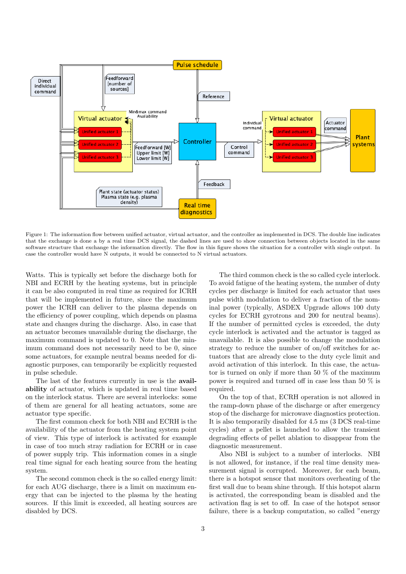

<span id="page-2-0"></span>Figure 1: The information flow between unified actuator, virtual actuator, and the controller as implemented in DCS. The double line indicates that the exchange is done a by a real time DCS signal, the dashed lines are used to show connection between objects located in the same software structure that exchange the information directly. The flow in this figure shows the situation for a controller with single output. In case the controller would have N outputs, it would be connected to N virtual actuators.

Watts. This is typically set before the discharge both for NBI and ECRH by the heating systems, but in principle it can be also computed in real time as required for ICRH that will be implemented in future, since the maximum power the ICRH can deliver to the plasma depends on the efficiency of power coupling, which depends on plasma state and changes during the discharge. Also, in case that an actuator becomes unavailable during the discharge, the maximum command is updated to 0. Note that the minimum command does not necessarily need to be 0, since some actuators, for example neutral beams needed for diagnostic purposes, can temporarily be explicitly requested in pulse schedule.

The last of the features currently in use is the **avail**ability of actuator, which is updated in real time based on the interlock status. There are several interlocks: some of them are general for all heating actuators, some are actuator type specific.

The first common check for both NBI and ECRH is the availability of the actuator from the heating system point of view. This type of interlock is activated for example in case of too much stray radiation for ECRH or in case of power supply trip. This information comes in a single real time signal for each heating source from the heating system.

The second common check is the so called energy limit: for each AUG discharge, there is a limit on maximum energy that can be injected to the plasma by the heating sources. If this limit is exceeded, all heating sources are disabled by DCS.

The third common check is the so called cycle interlock. To avoid fatigue of the heating system, the number of duty cycles per discharge is limited for each actuator that uses pulse width modulation to deliver a fraction of the nominal power (typically, ASDEX Upgrade allows 100 duty cycles for ECRH gyrotrons and 200 for neutral beams). If the number of permitted cycles is exceeded, the duty cycle interlock is activated and the actuator is tagged as unavailable. It is also possible to change the modulation strategy to reduce the number of on/off switches for actuators that are already close to the duty cycle limit and avoid activation of this interlock. In this case, the actuator is turned on only if more than 50 % of the maximum power is required and turned off in case less than 50 % is required.

On the top of that, ECRH operation is not allowed in the ramp-down phase of the discharge or after emergency stop of the discharge for microwave diagnostics protection. It is also temporarily disabled for 4.5 ms (3 DCS real-time cycles) after a pellet is launched to allow the transient degrading effects of pellet ablation to disappear from the diagnostic measurement.

Also NBI is subject to a number of interlocks. NBI is not allowed, for instance, if the real time density measurement signal is corrupted. Moreover, for each beam, there is a hotspot sensor that monitors overheating of the first wall due to beam shine through. If this hotspot alarm is activated, the corresponding beam is disabled and the activation flag is set to off. In case of the hotspot sensor failure, there is a backup computation, so called "energy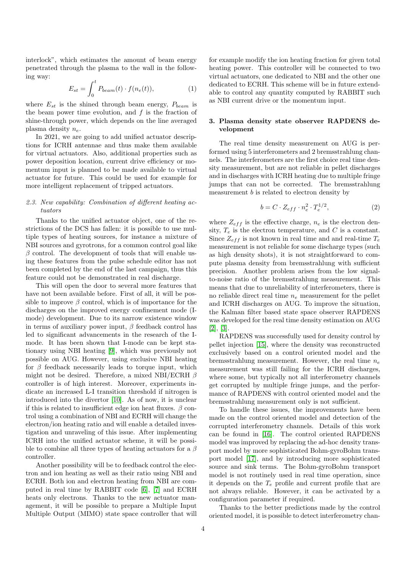interlock", which estimates the amount of beam energy penetrated through the plasma to the wall in the following way:

$$
E_{st} = \int_0^t P_{beam}(t) \cdot f(n_e(t)), \qquad (1)
$$

where  $E_{st}$  is the shined through beam energy,  $P_{beam}$  is the beam power time evolution, and  $f$  is the fraction of shine-through power, which depends on the line averaged plasma density  $n_e$ .

In 2021, we are going to add unified actuator descriptions for ICRH antennae and thus make them available for virtual actuators. Also, additional properties such as power deposition location, current drive efficiency or momentum input is planned to be made available to virtual actuator for future. This could be used for example for more intelligent replacement of tripped actuators.

# 2.3. New capability: Combination of different heating actuators

Thanks to the unified actuator object, one of the restrictions of the DCS has fallen: it is possible to use multiple types of heating sources, for instance a mixture of NBI sources and gyrotrons, for a common control goal like  $\beta$  control. The development of tools that will enable using these features from the pulse schedule editor has not been completed by the end of the last campaign, thus this feature could not be demonstrated in real discharge.

This will open the door to several more features that have not been available before. First of all, it will be possible to improve  $\beta$  control, which is of importance for the discharges on the improved energy confinement mode (Imode) development. Due to its narrow existence window in terms of auxiliary power input,  $\beta$  feedback control has led to significant advancements in the research of the Imode. It has been shown that I-mode can be kept stationary using NBI heating [\[9\]](#page-6-11), which was previously not possible on AUG. However, using exclusive NBI heating for  $\beta$  feedback necessarily leads to torque input, which might not be desired. Therefore, a mixed NBI/ECRH  $\beta$ controller is of high interest. Moreover, experiments indicate an increased L-I transition threshold if nitrogen is introduced into the divertor [\[10\]](#page-6-12). As of now, it is unclear if this is related to insufficient edge ion heat fluxes.  $\beta$  control using a combination of NBI and ECRH will change the electron/ion heating ratio and will enable a detailed investigation and unraveling of this issue. After implementing ICRH into the unified actuator scheme, it will be possible to combine all three types of heating actuators for a  $\beta$ controller.

Another possibility will be to feedback control the electron and ion heating as well as their ratio using NBI and ECRH. Both ion and electron heating from NBI are computed in real time by RABBIT code [\[6\]](#page-6-4), [\[7\]](#page-6-5) and ECRH heats only electrons. Thanks to the new actuator management, it will be possible to prepare a Multiple Input Multiple Output (MIMO) state space controller that will

for example modify the ion heating fraction for given total heating power. This controller will be connected to two virtual actuators, one dedicated to NBI and the other one dedicated to ECRH. This scheme will be in future extendable to control any quantity computed by RABBIT such as NBI current drive or the momentum input.

# <span id="page-3-0"></span>3. Plasma density state observer RAPDENS development

The real time density measurement on AUG is performed using 5 interferometers and 2 bremsstrahlung channels. The interferometers are the first choice real time density measurement, but are not reliable in pellet discharges and in discharges with ICRH heating due to multiple fringe jumps that can not be corrected. The bremsstrahlung measurement b is related to electron density by

$$
b = C \cdot Z_{eff} \cdot n_e^2 \cdot T_e^{1/2},\tag{2}
$$

where  $Z_{eff}$  is the effective charge,  $n_e$  is the electron density,  $T_e$  is the electron temperature, and C is a constant. Since  $Z_{eff}$  is not known in real time and and real-time  $T_e$ measurement is not reliable for some discharge types (such as high density shots), it is not straightforward to compute plasma density from bremsstrahlung with sufficient precision. Another problem arises from the low signalto-noise ratio of the bremsstrahlung measurement. This means that due to unreliability of interferometers, there is no reliable direct real time  $n_e$  measurement for the pellet and ICRH discharges on AUG. To improve the situation, the Kalman filter based state space observer RAPDENS was developed for the real time density estimation on AUG [\[2\]](#page-6-0), [\[3\]](#page-6-1).

RAPDENS was successfully used for density control by pellet injection [\[15\]](#page-6-13), where the density was reconstructed exclusively based on a control oriented model and the bremsstrahlung measurement. However, the real time  $n_e$ measurement was still failing for the ICRH discharges, where some, but typically not all interferometry channels get corrupted by multiple fringe jumps, and the performance of RAPDENS with control oriented model and the bremsstrahlung measurement only is not sufficient.

To handle these issues, the improvements have been made on the control oriented model and detection of the corrupted interferometry channels. Details of this work can be found in [\[16\]](#page-6-14). The control oriented RAPDENS model was improved by replacing the ad-hoc density transport model by more sophisticated Bohm-gyroBohm transport model [\[17\]](#page-6-15), and by introducing more sophisticated source and sink terms. The Bohm-gyroBohm transport model is not routinely used in real time operation, since it depends on the  $T_e$  profile and current profile that are not always reliable. However, it can be activated by a configuration parameter if required.

Thanks to the better predictions made by the control oriented model, it is possible to detect interferometry chan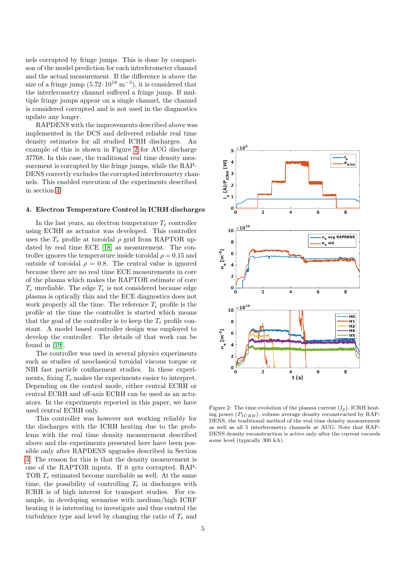nels corrupted by fringe jumps. This is done by comparison of the model prediction for each interferometer channel and the actual measurement. If the difference is above the size of a fringe jump  $(5.72 \cdot 10^{18} \text{ m}^{-3})$ , it is considered that the interferometry channel suffered a fringe jump. If multiple fringe jumps appear on a single channel, the channel is considered corrupted and is not used in the diagnostics update any longer.

RAPDENS with the improvements described above was implemented in the DCS and delivered reliable real time density estimates for all studied ICRH discharges. An example of this is shown in Figure [2](#page-4-1) for AUG discharge 37768. In this case, the traditional real time density measurement is corrupted by the fringe jumps, while the RAP-DENS correctly excludes the corrupted interferometry channels. This enabled execution of the experiments described in section [4.](#page-4-0)

## <span id="page-4-0"></span>4. Electron Temperature Control in ICRH discharges

In the last years, an electron temperature  $T_e$  controller using ECRH as actuator was developed. This controller uses the  $T_e$  profile at toroidal  $\rho$  grid from RAPTOR updated by real time ECE [\[18\]](#page-6-16) as measurement. The controller ignores the temperature inside toroidal  $\rho = 0.15$  and outside of toroidal  $\rho = 0.8$ . The central value is ignored because there are no real time ECE measurements in core of the plasma which makes the RAPTOR estimate of core  $T_e$  unreliable. The edge  $T_e$  is not considered because edge plasma is optically thin and the ECE diagnostics does not work properly all the time. The reference  $T_e$  profile is the profile at the time the controller is started which means that the goal of the controller is to keep the  $T_e$  profile constant. A model based controller design was employed to develop the controller. The details of that work can be found in [\[19\]](#page-6-17).

The controller was used in several physics experiments such as studies of neoclassical toroidal viscous torque or NBI fast particle confinement studies. In these experiments, fixing  $T_e$  makes the experiments easier to interpret. Depending on the control mode, either central ECRH or central ECRH and off-axis ECRH can be used as an actuators. In the experiments reported in this paper, we have used central ECRH only.

This controller was however not working reliably for the discharges with the ICRH heating due to the problems with the real time density measurement described above and the experiments presented here have been possible only after RAPDENS upgrades described in Section [3.](#page-3-0) The reason for this is that the density measurement is one of the RAPTOR inputs. If it gets corrupted, RAP-TOR  $T_e$  estimated become unreliable as well. At the same time, the possibility of controlling  $T_e$  in discharges with ICRH is of high interest for transport studies. For example, in developing scenarios with medium/high ICRF heating it is interesting to investigate and thus control the turbulence type and level by changing the ratio of  $T_e$  and



<span id="page-4-1"></span>Figure 2: The time evolution of the plasma current  $(I_n)$ , ICRH heating power  $(P_{ICRH})$ , volume average density reconstructed by RAP-DENS, the traditional method of the real time density measurement as well as all 5 interferometry channels at AUG. Note that RAP-DENS density reconstruction is active only after the current exceeds some level (typically 300 kA).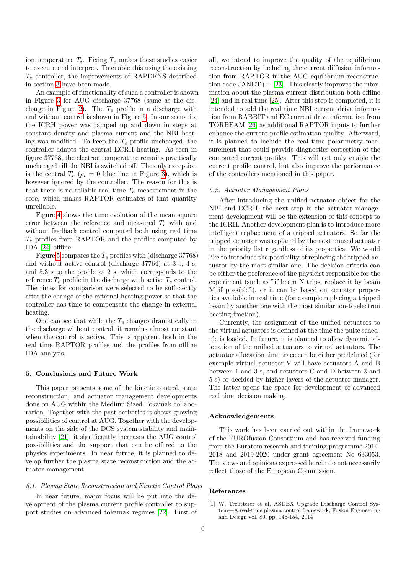ion temperature  $T_i$ . Fixing  $T_e$  makes these studies easier to execute and interpret. To enable this using the existing  $T_e$  controller, the improvements of RAPDENS described in section [3](#page-3-0) have been made.

An example of functionality of such a controller is shown in Figure [3](#page-6-18) for AUG discharge 37768 (same as the dis-charge in Figure [2\)](#page-4-1). The  $T_e$  profile in a discharge with and without control is shown in Figure [5.](#page-7-0) In our scenario, the ICRH power was ramped up and down in steps at constant density and plasma current and the NBI heating was modified. To keep the  $T_e$  profile unchanged, the controller adapts the central ECRH heating. As seen in figure 37768, the electron temperature remains practically unchanged till the NBI is switched off. The only exception is the central  $T_e$  ( $\rho_t = 0$  blue line in Figure [3\)](#page-6-18), which is however ignored by the controller. The reason for this is that there is no reliable real time  $T_e$  measurement in the core, which makes RAPTOR estimates of that quantity unreliable.

Figure [4](#page-7-1) shows the time evolution of the mean square error between the reference and measured  $T_e$  with and without feedback control computed both using real time  $T_e$  profiles from RAPTOR and the profiles computed by IDA [\[24\]](#page-6-19) offline.

Figure [5](#page-7-0) compares the  $T_e$  profiles with (discharge 37768) and without active control (discharge 37764) at 3 s, 4 s, and 5.3 s to the profile at 2 s, which corresponds to the reference  $T_e$  profile in the discharge with active  $T_e$  control. The times for comparison were selected to be sufficiently after the change of the external heating power so that the controller has time to compensate the change in external heating.

One can see that while the  $T_e$  changes dramatically in the discharge without control, it remains almost constant when the control is active. This is apparent both in the real time RAPTOR profiles and the profiles from offline IDA analysis.

#### <span id="page-5-1"></span>5. Conclusions and Future Work

This paper presents some of the kinetic control, state reconstruction, and actuator management developments done on AUG within the Medium Sized Tokamak collaboration. Together with the past activities it shows growing possibilities of control at AUG. Together with the developments on the side of the DCS system stability and maintainability [\[21\]](#page-6-20), it significantly increases the AUG control possibilities and the support that can be offered to the physics experiments. In near future, it is planned to develop further the plasma state reconstruction and the actuator management.

## 5.1. Plasma State Reconstruction and Kinetic Control Plans

In near future, major focus will be put into the development of the plasma current profile controller to support studies on advanced tokamak regimes [\[22\]](#page-6-21). First of all, we intend to improve the quality of the equilibrium reconstruction by including the current diffusion information from RAPTOR in the AUG equilibrium reconstruction code  $JANET++$  [\[23\]](#page-6-22). This clearly improves the information about the plasma current distribution both offline [\[24\]](#page-6-19) and in real time [\[25\]](#page-6-23). After this step is completed, it is intended to add the real time NBI current drive information from RABBIT and EC current drive information from TORBEAM [\[26\]](#page-8-0) as additional RAPTOR inputs to further enhance the current profile estimation quality. Afterward, it is planned to include the real time polarimetry measurement that could provide diagnostics correction of the computed current profiles. This will not only enable the current profile control, but also improve the performance of the controllers mentioned in this paper.

## 5.2. Actuator Management Plans

After introducing the unified actuator object for the NBI and ECRH, the next step in the actuator management development will be the extension of this concept to the ICRH. Another development plan is to introduce more intelligent replacement of a tripped actuators. So far the tripped actuator was replaced by the next unused actuator in the priority list regardless of its properties. We would like to introduce the possibility of replacing the tripped actuator by the most similar one. The decision criteria can be either the preference of the physicist responsible for the experiment (such as "if beam N trips, replace it by beam M if possible"), or it can be based on actuator properties available in real time (for example replacing a tripped beam by another one with the most similar ion-to-electron heating fraction).

Currently, the assignment of the unified actuators to the virtual actuators is defined at the time the pulse schedule is loaded. In future, it is planned to allow dynamic allocation of the unified actuators to virtual actuators. The actuator allocation time trace can be either predefined (for example virtual actuator V will have actuators A and B between 1 and 3 s, and actuators C and D between 3 and 5 s) or decided by higher layers of the actuator manager. The latter opens the space for development of advanced real time decision making.

## Acknowledgements

This work has been carried out within the framework of the EUROfusion Consortium and has received funding from the Euratom research and training programme 2014- 2018 and 2019-2020 under grant agreement No 633053. The views and opinions expressed herein do not necessarily reflect those of the European Commission.

#### References

<span id="page-5-0"></span>[1] W. Treutterer et al, ASDEX Upgrade Discharge Control System—A real-time plasma control framework, Fusion Engineering and Design vol. 89, pp. 146-154, 2014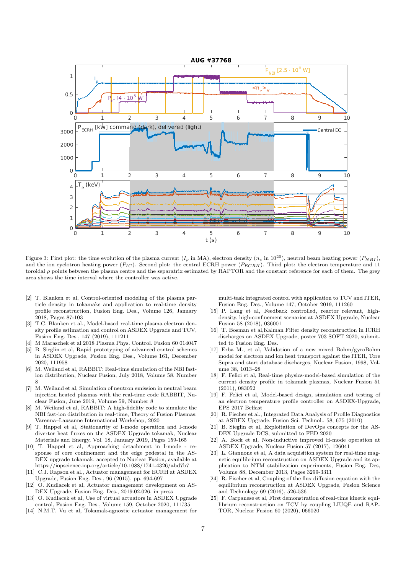

<span id="page-6-18"></span>Figure 3: First plot: the time evolution of the plasma current  $(I_p$  in MA), electron density  $(n_e$  in  $10^{20})$ , neutral beam heating power  $(P_{NH})$ . and the ion cyclotron heating power  $(P_{IC})$ . Second plot: the central ECRH power  $(P_{ECRH})$ . Third plot: the electron temperature and 11 toroidal  $\rho$  points between the plasma centre and the separatrix estimated by RAPTOR and the constant reference for each of them. The grey area shows the time interval where the controller was active.

- <span id="page-6-0"></span>[2] T. Blanken et al, Control-oriented modeling of the plasma particle density in tokamaks and application to real-time density profile reconstruction, Fusion Eng. Des., Volume 126, January 2018, Pages 87-103
- <span id="page-6-1"></span>[3] T.C. Blanken et al., Model-based real-time plasma electron density profile estimation and control on ASDEX Upgrade and TCV, Fusion Eng. Des., 147 (2019), 111211
- <span id="page-6-2"></span>[4] M Maraschek et al 2018 Plasma Phys. Control. Fusion 60 014047
- <span id="page-6-3"></span>[5] B. Sieglin et al, Rapid prototyping of advanced control schemes in ASDEX Upgrade, Fusion Eng. Des., Volume 161, December 2020, 111958
- <span id="page-6-4"></span>[6] M. Weiland et al, RABBIT: Real-time simulation of the NBI fastion distribution, Nuclear Fusion, July 2018, Volume 58, Number 8
- <span id="page-6-5"></span>[7] M. Weiland et al, Simulation of neutron emission in neutral beam injection heated plasmas with the real-time code RABBIT, Nuclear Fusion, June 2019, Volume 59, Number 8
- <span id="page-6-6"></span>[8] M. Weiland et al, RABBIT: A high-fidelity code to simulate the NBI fast-ion distribution in real-time, Theory of Fusion Plasmas: Varenna–Lausanne International Workshop, 2020
- <span id="page-6-11"></span>[9] T. Happel et al, Stationarity of I-mode operation and I-mode divertor heat fluxes on the ASDEX Upgrade tokamak, Nuclear Materials and Energy, Vol. 18, January 2019, Pages 159-165
- <span id="page-6-12"></span>[10] T. Happel et al, Approaching detachment in I-mode - response of core confinement and the edge pedestal in the AS-DEX upgrade tokamak, accepted to Nuclear Fusion, available at https://iopscience.iop.org/article/10.1088/1741-4326/abd7b7
- <span id="page-6-7"></span>[11] C.J. Rapson et al., Actuator management for ECRH at ASDEX Upgrade, Fusion Eng. Des., 96 (2015), pp. 694-697
- <span id="page-6-8"></span>[12] O. Kudlacek et al, Actuator management development on AS-DEX Upgrade, Fusion Eng. Des., 2019.02.026, in press
- <span id="page-6-9"></span>[13] O. Kudlacek et al, Use of virtual actuators in ASDEX Upgrade control, Fusion Eng. Des., Volume 159, October 2020, 111735
- <span id="page-6-10"></span>[14] N.M.T. Vu et al, Tokamak-agnostic actuator management for

multi-task integrated control with application to TCV and ITER, Fusion Eng. Des., Volume 147, October 2019, 111260

- <span id="page-6-13"></span>[15] P. Lang et al, Feedback controlled, reactor relevant, highdensity, high-confinement scenarios at ASDEX Upgrade, Nuclear Fusion 58 (2018), 036001
- <span id="page-6-14"></span>[16] T. Bosman et al,Kalman Filter density reconstruction in ICRH discharges on ASDEX Upgrade, poster 703 SOFT 2020, submitted to Fusion Eng. Des.
- <span id="page-6-15"></span>[17] Erba M., et al, Validation of a new mixed Bohm/gyroBohm model for electron and ion heat transport against the ITER, Tore Supra and start database discharges, Nuclear Fusion, 1998, Volume 38, 1013–28
- <span id="page-6-16"></span>[18] F. Felici et al, Real-time physics-model-based simulation of the current density profile in tokamak plasmas, Nuclear Fusion 51 (2011), 083052
- <span id="page-6-17"></span>[19] F. Felici et al, Model-based design, simulation and testing of an electron temperature profile controller on ASDEX-Upgrade, EPS 2017 Belfast
- <span id="page-6-19"></span>[20] R. Fischer et al., Integrated Data Analysis of Profile Diagnostics at ASDEX Upgrade, Fusion Sci. Technol., 58, 675 (2010)
- <span id="page-6-20"></span>[21] B. Sieglin et al, Exploitation of DevOps concepts for the AS-DEX Upgrade DCS, submitted to FED 2020
- <span id="page-6-21"></span>[22] A. Bock et al, Non-inductive improved H-mode operation at ASDEX Upgrade, Nuclear Fusion 57 (2017), 126041
- <span id="page-6-22"></span>[23] L. Giannone et al, A data acquisition system for real-time magnetic equilibrium reconstruction on ASDEX Upgrade and its application to NTM stabilization experiments, Fusion Eng. Des, Volume 88, December 2013, Pages 3299-3311
- [24] R. Fischer et al, Coupling of the flux diffusion equation with the equilibrium reconstruction at ASDEX Upgrade, Fusion Science and Technology 69 (2016), 526-536
- <span id="page-6-23"></span>[25] F. Carpanese et al, First demonstration of real-time kinetic equilibrium reconstruction on TCV by coupling LIUQE and RAP-TOR, Nuclear Fusion 60 (2020), 066020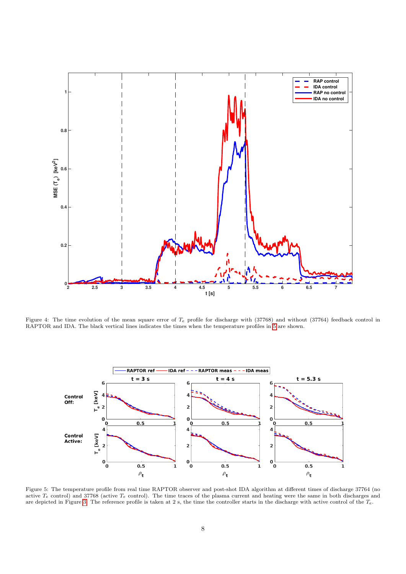

<span id="page-7-1"></span>Figure 4: The time evolution of the mean square error of  $T_e$  profile for discharge with (37768) and without (37764) feedback control in RAPTOR and IDA. The black vertical lines indicates the times when the temperature profiles in [5](#page-7-0) are shown.



<span id="page-7-0"></span>Figure 5: The temperature profile from real time RAPTOR observer and post-shot IDA algorithm at different times of discharge 37764 (no active  $T_e$  control) and 37768 (active  $T_e$  control). The time traces of the plasma current and heating were the same in both discharges and are depicted in Figure [3.](#page-6-18) The reference profile is taken at 2 s, the time the controller starts in the discharge with active control of the  $T_e$ .